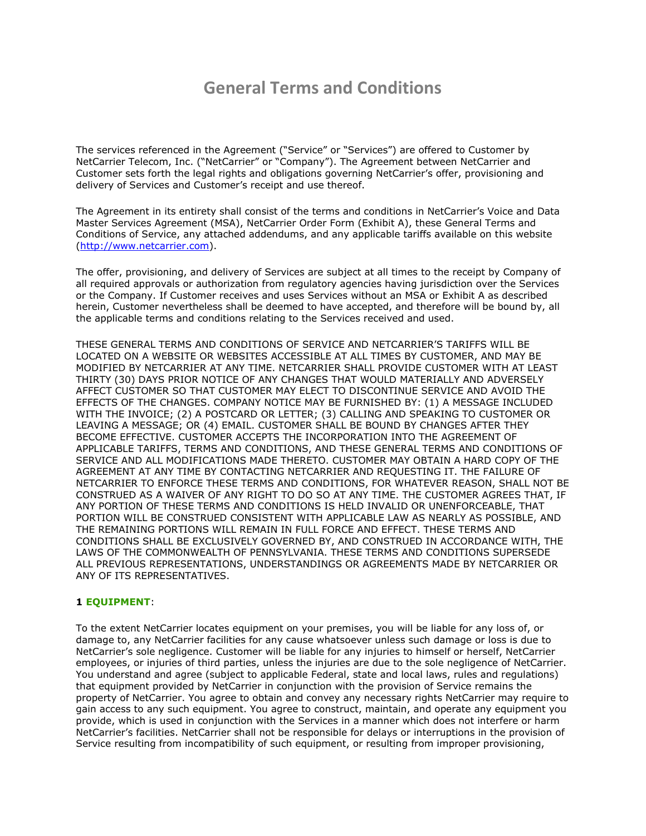# **General Terms and Conditions**

The services referenced in the Agreement ("Service" or "Services") are offered to Customer by NetCarrier Telecom, Inc. ("NetCarrier" or "Company"). The Agreement between NetCarrier and Customer sets forth the legal rights and obligations governing NetCarrier's offer, provisioning and delivery of Services and Customer's receipt and use thereof.

The Agreement in its entirety shall consist of the terms and conditions in NetCarrier's Voice and Data Master Services Agreement (MSA), NetCarrier Order Form (Exhibit A), these General Terms and Conditions of Service, any attached addendums, and any applicable tariffs available on this website [\(http://www.netcarrier.com\)](http://www.netcarrier.com/).

The offer, provisioning, and delivery of Services are subject at all times to the receipt by Company of all required approvals or authorization from regulatory agencies having jurisdiction over the Services or the Company. If Customer receives and uses Services without an MSA or Exhibit A as described herein, Customer nevertheless shall be deemed to have accepted, and therefore will be bound by, all the applicable terms and conditions relating to the Services received and used.

THESE GENERAL TERMS AND CONDITIONS OF SERVICE AND NETCARRIER'S TARIFFS WILL BE LOCATED ON A WEBSITE OR WEBSITES ACCESSIBLE AT ALL TIMES BY CUSTOMER, AND MAY BE MODIFIED BY NETCARRIER AT ANY TIME. NETCARRIER SHALL PROVIDE CUSTOMER WITH AT LEAST THIRTY (30) DAYS PRIOR NOTICE OF ANY CHANGES THAT WOULD MATERIALLY AND ADVERSELY AFFECT CUSTOMER SO THAT CUSTOMER MAY ELECT TO DISCONTINUE SERVICE AND AVOID THE EFFECTS OF THE CHANGES. COMPANY NOTICE MAY BE FURNISHED BY: (1) A MESSAGE INCLUDED WITH THE INVOICE; (2) A POSTCARD OR LETTER; (3) CALLING AND SPEAKING TO CUSTOMER OR LEAVING A MESSAGE; OR (4) EMAIL. CUSTOMER SHALL BE BOUND BY CHANGES AFTER THEY BECOME EFFECTIVE. CUSTOMER ACCEPTS THE INCORPORATION INTO THE AGREEMENT OF APPLICABLE TARIFFS, TERMS AND CONDITIONS, AND THESE GENERAL TERMS AND CONDITIONS OF SERVICE AND ALL MODIFICATIONS MADE THERETO. CUSTOMER MAY OBTAIN A HARD COPY OF THE AGREEMENT AT ANY TIME BY CONTACTING NETCARRIER AND REQUESTING IT. THE FAILURE OF NETCARRIER TO ENFORCE THESE TERMS AND CONDITIONS, FOR WHATEVER REASON, SHALL NOT BE CONSTRUED AS A WAIVER OF ANY RIGHT TO DO SO AT ANY TIME. THE CUSTOMER AGREES THAT, IF ANY PORTION OF THESE TERMS AND CONDITIONS IS HELD INVALID OR UNENFORCEABLE, THAT PORTION WILL BE CONSTRUED CONSISTENT WITH APPLICABLE LAW AS NEARLY AS POSSIBLE, AND THE REMAINING PORTIONS WILL REMAIN IN FULL FORCE AND EFFECT. THESE TERMS AND CONDITIONS SHALL BE EXCLUSIVELY GOVERNED BY, AND CONSTRUED IN ACCORDANCE WITH, THE LAWS OF THE COMMONWEALTH OF PENNSYLVANIA. THESE TERMS AND CONDITIONS SUPERSEDE ALL PREVIOUS REPRESENTATIONS, UNDERSTANDINGS OR AGREEMENTS MADE BY NETCARRIER OR ANY OF ITS REPRESENTATIVES.

## **1 EQUIPMENT**:

To the extent NetCarrier locates equipment on your premises, you will be liable for any loss of, or damage to, any NetCarrier facilities for any cause whatsoever unless such damage or loss is due to NetCarrier's sole negligence. Customer will be liable for any injuries to himself or herself, NetCarrier employees, or injuries of third parties, unless the injuries are due to the sole negligence of NetCarrier. You understand and agree (subject to applicable Federal, state and local laws, rules and regulations) that equipment provided by NetCarrier in conjunction with the provision of Service remains the property of NetCarrier. You agree to obtain and convey any necessary rights NetCarrier may require to gain access to any such equipment. You agree to construct, maintain, and operate any equipment you provide, which is used in conjunction with the Services in a manner which does not interfere or harm NetCarrier's facilities. NetCarrier shall not be responsible for delays or interruptions in the provision of Service resulting from incompatibility of such equipment, or resulting from improper provisioning,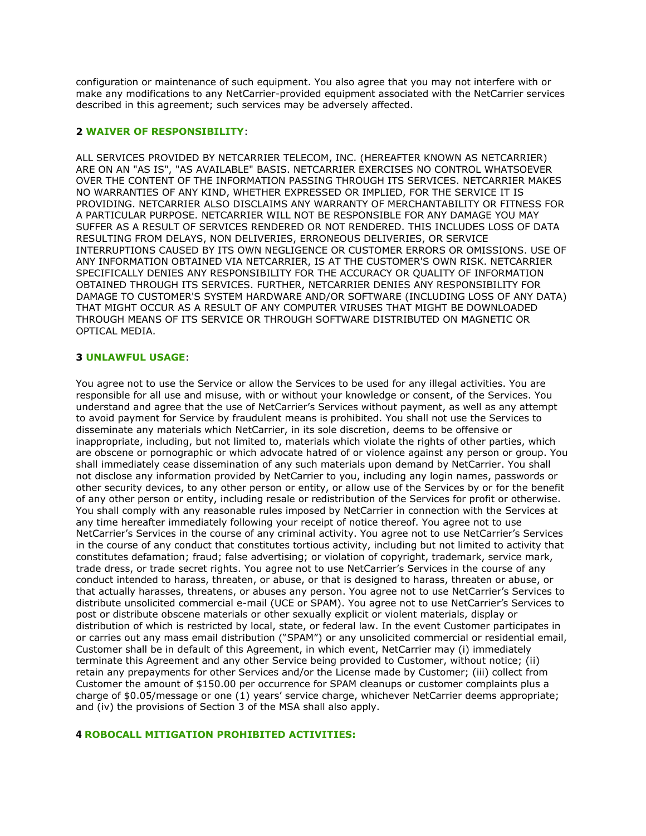configuration or maintenance of such equipment. You also agree that you may not interfere with or make any modifications to any NetCarrier-provided equipment associated with the NetCarrier services described in this agreement; such services may be adversely affected.

### **2 WAIVER OF RESPONSIBILITY**:

ALL SERVICES PROVIDED BY NETCARRIER TELECOM, INC. (HEREAFTER KNOWN AS NETCARRIER) ARE ON AN "AS IS", "AS AVAILABLE" BASIS. NETCARRIER EXERCISES NO CONTROL WHATSOEVER OVER THE CONTENT OF THE INFORMATION PASSING THROUGH ITS SERVICES. NETCARRIER MAKES NO WARRANTIES OF ANY KIND, WHETHER EXPRESSED OR IMPLIED, FOR THE SERVICE IT IS PROVIDING. NETCARRIER ALSO DISCLAIMS ANY WARRANTY OF MERCHANTABILITY OR FITNESS FOR A PARTICULAR PURPOSE. NETCARRIER WILL NOT BE RESPONSIBLE FOR ANY DAMAGE YOU MAY SUFFER AS A RESULT OF SERVICES RENDERED OR NOT RENDERED. THIS INCLUDES LOSS OF DATA RESULTING FROM DELAYS, NON DELIVERIES, ERRONEOUS DELIVERIES, OR SERVICE INTERRUPTIONS CAUSED BY ITS OWN NEGLIGENCE OR CUSTOMER ERRORS OR OMISSIONS. USE OF ANY INFORMATION OBTAINED VIA NETCARRIER, IS AT THE CUSTOMER'S OWN RISK. NETCARRIER SPECIFICALLY DENIES ANY RESPONSIBILITY FOR THE ACCURACY OR QUALITY OF INFORMATION OBTAINED THROUGH ITS SERVICES. FURTHER, NETCARRIER DENIES ANY RESPONSIBILITY FOR DAMAGE TO CUSTOMER'S SYSTEM HARDWARE AND/OR SOFTWARE (INCLUDING LOSS OF ANY DATA) THAT MIGHT OCCUR AS A RESULT OF ANY COMPUTER VIRUSES THAT MIGHT BE DOWNLOADED THROUGH MEANS OF ITS SERVICE OR THROUGH SOFTWARE DISTRIBUTED ON MAGNETIC OR OPTICAL MEDIA.

#### **3 UNLAWFUL USAGE**:

You agree not to use the Service or allow the Services to be used for any illegal activities. You are responsible for all use and misuse, with or without your knowledge or consent, of the Services. You understand and agree that the use of NetCarrier's Services without payment, as well as any attempt to avoid payment for Service by fraudulent means is prohibited. You shall not use the Services to disseminate any materials which NetCarrier, in its sole discretion, deems to be offensive or inappropriate, including, but not limited to, materials which violate the rights of other parties, which are obscene or pornographic or which advocate hatred of or violence against any person or group. You shall immediately cease dissemination of any such materials upon demand by NetCarrier. You shall not disclose any information provided by NetCarrier to you, including any login names, passwords or other security devices, to any other person or entity, or allow use of the Services by or for the benefit of any other person or entity, including resale or redistribution of the Services for profit or otherwise. You shall comply with any reasonable rules imposed by NetCarrier in connection with the Services at any time hereafter immediately following your receipt of notice thereof. You agree not to use NetCarrier's Services in the course of any criminal activity. You agree not to use NetCarrier's Services in the course of any conduct that constitutes tortious activity, including but not limited to activity that constitutes defamation; fraud; false advertising; or violation of copyright, trademark, service mark, trade dress, or trade secret rights. You agree not to use NetCarrier's Services in the course of any conduct intended to harass, threaten, or abuse, or that is designed to harass, threaten or abuse, or that actually harasses, threatens, or abuses any person. You agree not to use NetCarrier's Services to distribute unsolicited commercial e-mail (UCE or SPAM). You agree not to use NetCarrier's Services to post or distribute obscene materials or other sexually explicit or violent materials, display or distribution of which is restricted by local, state, or federal law. In the event Customer participates in or carries out any mass email distribution ("SPAM") or any unsolicited commercial or residential email, Customer shall be in default of this Agreement, in which event, NetCarrier may (i) immediately terminate this Agreement and any other Service being provided to Customer, without notice; (ii) retain any prepayments for other Services and/or the License made by Customer; (iii) collect from Customer the amount of \$150.00 per occurrence for SPAM cleanups or customer complaints plus a charge of \$0.05/message or one (1) years' service charge, whichever NetCarrier deems appropriate; and (iv) the provisions of Section 3 of the MSA shall also apply.

#### **4 ROBOCALL MITIGATION PROHIBITED ACTIVITIES:**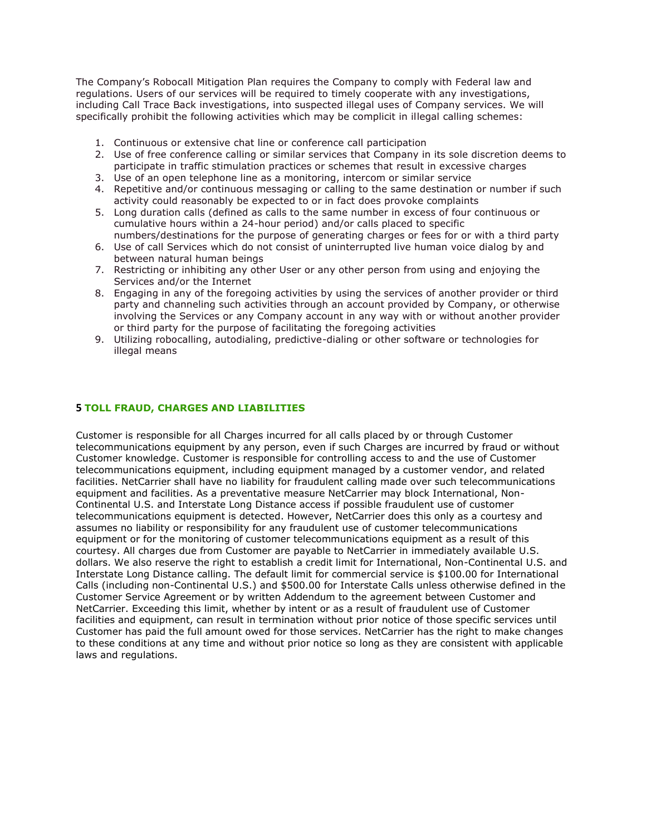The Company's Robocall Mitigation Plan requires the Company to comply with Federal law and regulations. Users of our services will be required to timely cooperate with any investigations, including Call Trace Back investigations, into suspected illegal uses of Company services. We will specifically prohibit the following activities which may be complicit in illegal calling schemes:

- 1. Continuous or extensive chat line or conference call participation
- 2. Use of free conference calling or similar services that Company in its sole discretion deems to participate in traffic stimulation practices or schemes that result in excessive charges
- 3. Use of an open telephone line as a monitoring, intercom or similar service
- 4. Repetitive and/or continuous messaging or calling to the same destination or number if such activity could reasonably be expected to or in fact does provoke complaints
- 5. Long duration calls (defined as calls to the same number in excess of four continuous or cumulative hours within a 24-hour period) and/or calls placed to specific numbers/destinations for the purpose of generating charges or fees for or with a third party
- 6. Use of call Services which do not consist of uninterrupted live human voice dialog by and between natural human beings
- 7. Restricting or inhibiting any other User or any other person from using and enjoying the Services and/or the Internet
- 8. Engaging in any of the foregoing activities by using the services of another provider or third party and channeling such activities through an account provided by Company, or otherwise involving the Services or any Company account in any way with or without another provider or third party for the purpose of facilitating the foregoing activities
- 9. Utilizing robocalling, autodialing, predictive-dialing or other software or technologies for illegal means

## **5 TOLL FRAUD, CHARGES AND LIABILITIES**

Customer is responsible for all Charges incurred for all calls placed by or through Customer telecommunications equipment by any person, even if such Charges are incurred by fraud or without Customer knowledge. Customer is responsible for controlling access to and the use of Customer telecommunications equipment, including equipment managed by a customer vendor, and related facilities. NetCarrier shall have no liability for fraudulent calling made over such telecommunications equipment and facilities. As a preventative measure NetCarrier may block International, Non-Continental U.S. and Interstate Long Distance access if possible fraudulent use of customer telecommunications equipment is detected. However, NetCarrier does this only as a courtesy and assumes no liability or responsibility for any fraudulent use of customer telecommunications equipment or for the monitoring of customer telecommunications equipment as a result of this courtesy. All charges due from Customer are payable to NetCarrier in immediately available U.S. dollars. We also reserve the right to establish a credit limit for International, Non-Continental U.S. and Interstate Long Distance calling. The default limit for commercial service is \$100.00 for International Calls (including non-Continental U.S.) and \$500.00 for Interstate Calls unless otherwise defined in the Customer Service Agreement or by written Addendum to the agreement between Customer and NetCarrier. Exceeding this limit, whether by intent or as a result of fraudulent use of Customer facilities and equipment, can result in termination without prior notice of those specific services until Customer has paid the full amount owed for those services. NetCarrier has the right to make changes to these conditions at any time and without prior notice so long as they are consistent with applicable laws and regulations.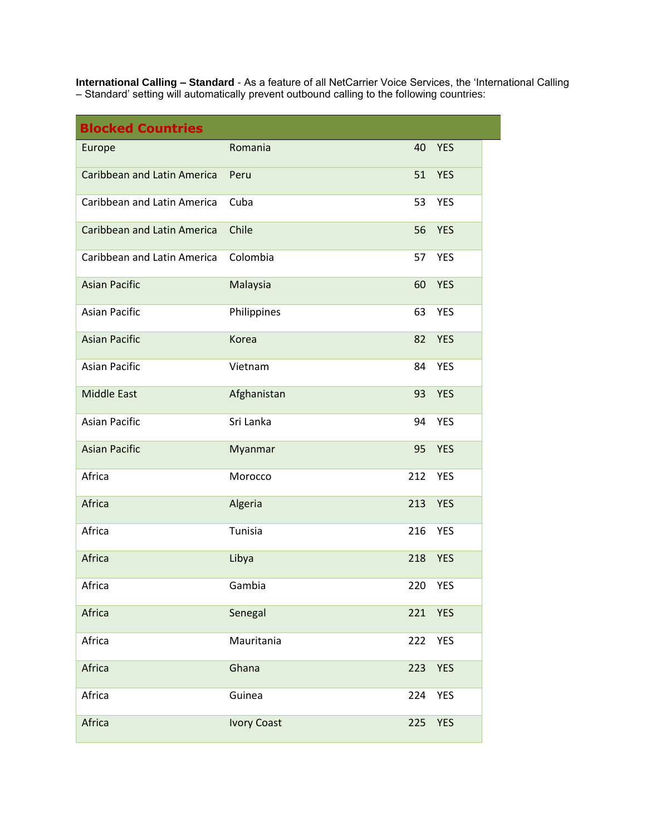**International Calling – Standard** - As a feature of all NetCarrier Voice Services, the 'International Calling – Standard' setting will automatically prevent outbound calling to the following countries:

| <b>Blocked Countries</b>           |                    |     |            |
|------------------------------------|--------------------|-----|------------|
| Europe                             | Romania            | 40  | <b>YES</b> |
| <b>Caribbean and Latin America</b> | Peru               | 51  | <b>YES</b> |
| Caribbean and Latin America        | Cuba               | 53  | <b>YES</b> |
| <b>Caribbean and Latin America</b> | Chile              | 56  | <b>YES</b> |
| Caribbean and Latin America        | Colombia           | 57  | <b>YES</b> |
| <b>Asian Pacific</b>               | Malaysia           | 60  | <b>YES</b> |
| <b>Asian Pacific</b>               | Philippines        | 63  | <b>YES</b> |
| <b>Asian Pacific</b>               | Korea              | 82  | <b>YES</b> |
| <b>Asian Pacific</b>               | Vietnam            | 84  | <b>YES</b> |
| <b>Middle East</b>                 | Afghanistan        | 93  | <b>YES</b> |
| <b>Asian Pacific</b>               | Sri Lanka          | 94  | <b>YES</b> |
| <b>Asian Pacific</b>               | Myanmar            | 95  | <b>YES</b> |
| Africa                             | Morocco            | 212 | <b>YES</b> |
| Africa                             | Algeria            | 213 | <b>YES</b> |
| Africa                             | Tunisia            | 216 | <b>YES</b> |
| Africa                             | Libya              | 218 | <b>YES</b> |
| Africa                             | Gambia             | 220 | YES        |
| Africa                             | Senegal            | 221 | <b>YES</b> |
| Africa                             | Mauritania         | 222 | <b>YES</b> |
| Africa                             | Ghana              | 223 | <b>YES</b> |
| Africa                             | Guinea             | 224 | YES        |
| Africa                             | <b>Ivory Coast</b> | 225 | <b>YES</b> |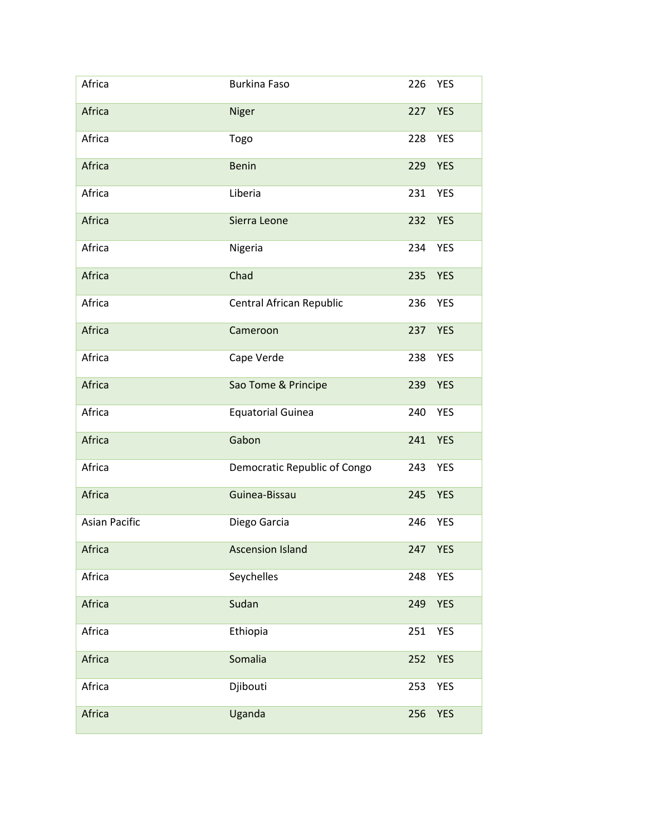| Africa               | <b>Burkina Faso</b>          | 226 | <b>YES</b> |
|----------------------|------------------------------|-----|------------|
| Africa               | Niger                        | 227 | <b>YES</b> |
| Africa               | Togo                         | 228 | <b>YES</b> |
| Africa               | <b>Benin</b>                 | 229 | <b>YES</b> |
| Africa               | Liberia                      | 231 | <b>YES</b> |
| Africa               | Sierra Leone                 | 232 | <b>YES</b> |
| Africa               | Nigeria                      | 234 | <b>YES</b> |
| Africa               | Chad                         | 235 | <b>YES</b> |
| Africa               | Central African Republic     | 236 | <b>YES</b> |
| Africa               | Cameroon                     | 237 | <b>YES</b> |
| Africa               | Cape Verde                   | 238 | <b>YES</b> |
| Africa               | Sao Tome & Principe          | 239 | <b>YES</b> |
| Africa               | <b>Equatorial Guinea</b>     | 240 | <b>YES</b> |
| Africa               | Gabon                        | 241 | <b>YES</b> |
| Africa               | Democratic Republic of Congo | 243 | <b>YES</b> |
| Africa               | Guinea-Bissau                | 245 | <b>YES</b> |
| <b>Asian Pacific</b> | Diego Garcia                 | 246 | <b>YES</b> |
| Africa               | <b>Ascension Island</b>      |     | 247 YES    |
| Africa               | Seychelles                   | 248 | <b>YES</b> |
| Africa               | Sudan                        | 249 | <b>YES</b> |
| Africa               | Ethiopia                     | 251 | <b>YES</b> |
| Africa               | Somalia                      | 252 | <b>YES</b> |
| Africa               | Djibouti                     | 253 | <b>YES</b> |
| Africa               | Uganda                       | 256 | <b>YES</b> |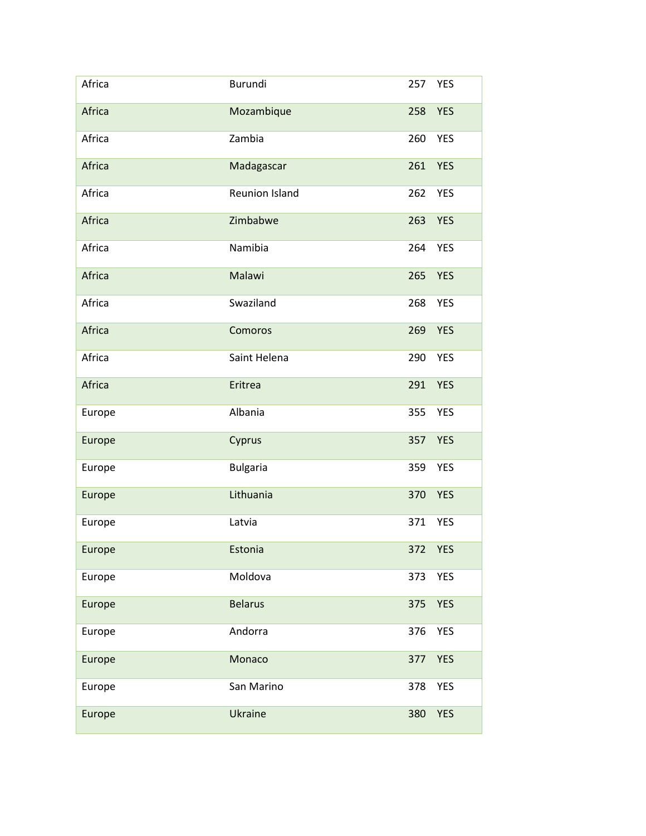| Africa | <b>Burundi</b>  | 257 | <b>YES</b> |
|--------|-----------------|-----|------------|
| Africa | Mozambique      | 258 | <b>YES</b> |
| Africa | Zambia          | 260 | <b>YES</b> |
| Africa | Madagascar      | 261 | <b>YES</b> |
| Africa | Reunion Island  | 262 | <b>YES</b> |
| Africa | Zimbabwe        | 263 | <b>YES</b> |
| Africa | Namibia         | 264 | <b>YES</b> |
| Africa | Malawi          | 265 | <b>YES</b> |
| Africa | Swaziland       | 268 | <b>YES</b> |
| Africa | Comoros         | 269 | <b>YES</b> |
| Africa | Saint Helena    | 290 | <b>YES</b> |
| Africa | Eritrea         | 291 | <b>YES</b> |
| Europe | Albania         | 355 | <b>YES</b> |
| Europe | Cyprus          | 357 | <b>YES</b> |
| Europe | <b>Bulgaria</b> | 359 | <b>YES</b> |
| Europe | Lithuania       | 370 | <b>YES</b> |
| Europe | Latvia          | 371 | <b>YES</b> |
| Europe | Estonia         |     | 372 YES    |
| Europe | Moldova         | 373 | <b>YES</b> |
| Europe | <b>Belarus</b>  | 375 | <b>YES</b> |
| Europe | Andorra         | 376 | <b>YES</b> |
| Europe | Monaco          | 377 | <b>YES</b> |
| Europe | San Marino      | 378 | <b>YES</b> |
| Europe | Ukraine         | 380 | <b>YES</b> |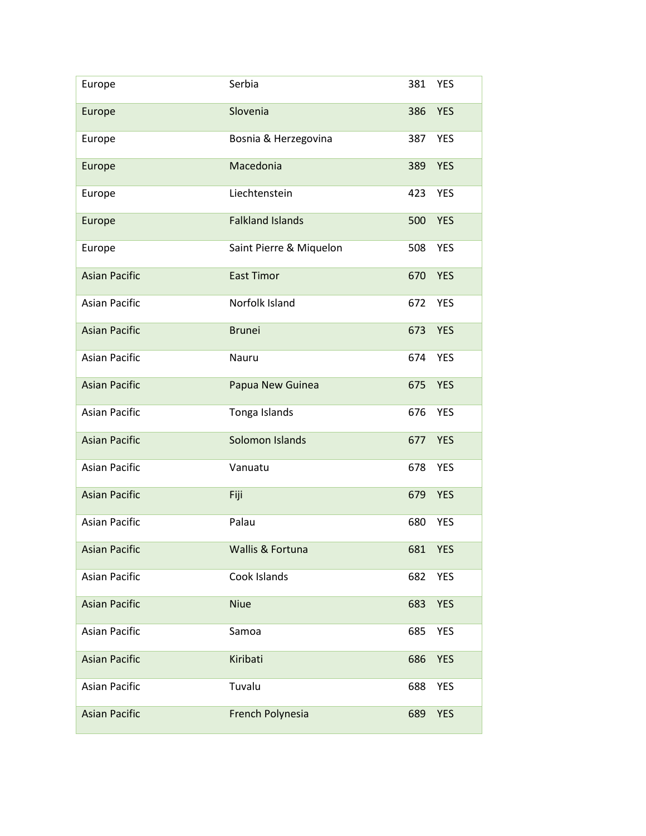| Europe               | Serbia                  | 381 | <b>YES</b> |
|----------------------|-------------------------|-----|------------|
| Europe               | Slovenia                | 386 | <b>YES</b> |
| Europe               | Bosnia & Herzegovina    | 387 | <b>YES</b> |
| Europe               | Macedonia               | 389 | <b>YES</b> |
| Europe               | Liechtenstein           | 423 | <b>YES</b> |
| Europe               | <b>Falkland Islands</b> | 500 | <b>YES</b> |
| Europe               | Saint Pierre & Miquelon | 508 | <b>YES</b> |
| <b>Asian Pacific</b> | <b>East Timor</b>       | 670 | <b>YES</b> |
| <b>Asian Pacific</b> | Norfolk Island          | 672 | <b>YES</b> |
| <b>Asian Pacific</b> | <b>Brunei</b>           | 673 | <b>YES</b> |
| <b>Asian Pacific</b> | Nauru                   | 674 | <b>YES</b> |
| <b>Asian Pacific</b> | Papua New Guinea        | 675 | <b>YES</b> |
| <b>Asian Pacific</b> | Tonga Islands           | 676 | <b>YES</b> |
| <b>Asian Pacific</b> | Solomon Islands         | 677 | <b>YES</b> |
| <b>Asian Pacific</b> | Vanuatu                 | 678 | <b>YES</b> |
| <b>Asian Pacific</b> | Fiji                    | 679 | <b>YES</b> |
| <b>Asian Pacific</b> | Palau                   | 680 | <b>YES</b> |
| <b>Asian Pacific</b> | Wallis & Fortuna        | 681 | <b>YES</b> |
| <b>Asian Pacific</b> | Cook Islands            | 682 | <b>YES</b> |
| <b>Asian Pacific</b> | <b>Niue</b>             | 683 | <b>YES</b> |
| <b>Asian Pacific</b> | Samoa                   | 685 | YES        |
| <b>Asian Pacific</b> | Kiribati                | 686 | <b>YES</b> |
| <b>Asian Pacific</b> | Tuvalu                  | 688 | <b>YES</b> |
| <b>Asian Pacific</b> | French Polynesia        | 689 | <b>YES</b> |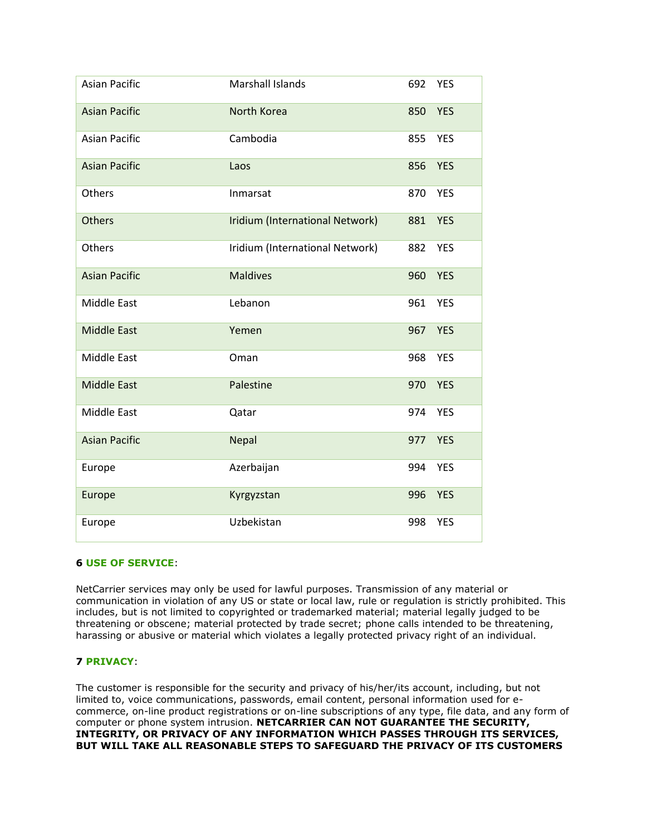| <b>Asian Pacific</b> | <b>Marshall Islands</b>         | 692 | <b>YES</b> |
|----------------------|---------------------------------|-----|------------|
| <b>Asian Pacific</b> | North Korea                     | 850 | <b>YES</b> |
| <b>Asian Pacific</b> | Cambodia                        | 855 | <b>YES</b> |
| <b>Asian Pacific</b> | Laos                            | 856 | <b>YES</b> |
| Others               | Inmarsat                        | 870 | <b>YES</b> |
| <b>Others</b>        | Iridium (International Network) | 881 | <b>YES</b> |
| Others               | Iridium (International Network) | 882 | <b>YES</b> |
| <b>Asian Pacific</b> | <b>Maldives</b>                 | 960 | <b>YES</b> |
| Middle East          | Lebanon                         | 961 | <b>YES</b> |
| <b>Middle East</b>   | Yemen                           | 967 | <b>YES</b> |
| Middle East          | Oman                            | 968 | <b>YES</b> |
| <b>Middle East</b>   | Palestine                       | 970 | <b>YES</b> |
| Middle East          | Qatar                           | 974 | <b>YES</b> |
| <b>Asian Pacific</b> | Nepal                           | 977 | <b>YES</b> |
| Europe               | Azerbaijan                      | 994 | <b>YES</b> |
| Europe               | Kyrgyzstan                      | 996 | <b>YES</b> |
| Europe               | Uzbekistan                      | 998 | <b>YES</b> |

## **6 USE OF SERVICE**:

NetCarrier services may only be used for lawful purposes. Transmission of any material or communication in violation of any US or state or local law, rule or regulation is strictly prohibited. This includes, but is not limited to copyrighted or trademarked material; material legally judged to be threatening or obscene; material protected by trade secret; phone calls intended to be threatening, harassing or abusive or material which violates a legally protected privacy right of an individual.

# **7 PRIVACY**:

The customer is responsible for the security and privacy of his/her/its account, including, but not limited to, voice communications, passwords, email content, personal information used for ecommerce, on-line product registrations or on-line subscriptions of any type, file data, and any form of computer or phone system intrusion. **NETCARRIER CAN NOT GUARANTEE THE SECURITY, INTEGRITY, OR PRIVACY OF ANY INFORMATION WHICH PASSES THROUGH ITS SERVICES, BUT WILL TAKE ALL REASONABLE STEPS TO SAFEGUARD THE PRIVACY OF ITS CUSTOMERS**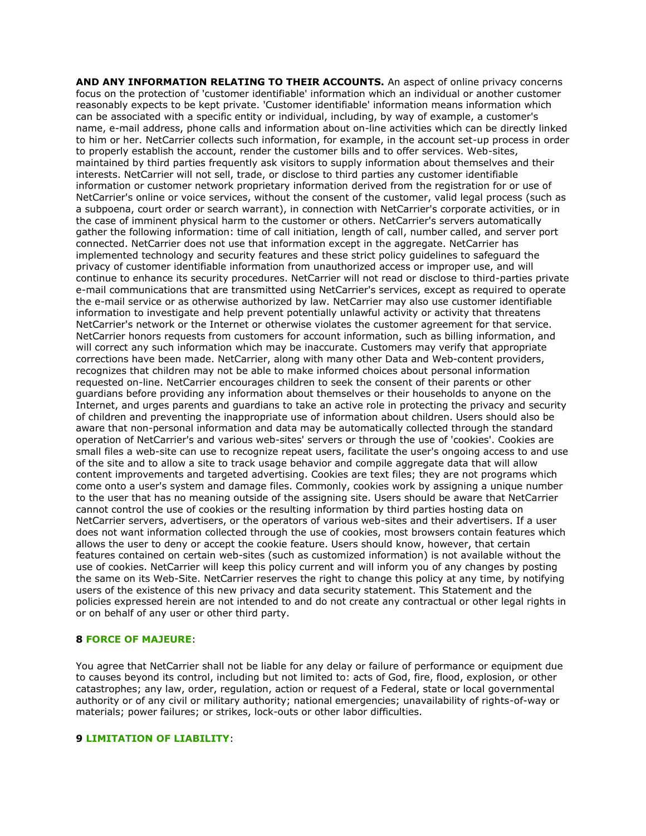**AND ANY INFORMATION RELATING TO THEIR ACCOUNTS.** An aspect of online privacy concerns focus on the protection of 'customer identifiable' information which an individual or another customer reasonably expects to be kept private. 'Customer identifiable' information means information which can be associated with a specific entity or individual, including, by way of example, a customer's name, e-mail address, phone calls and information about on-line activities which can be directly linked to him or her. NetCarrier collects such information, for example, in the account set-up process in order to properly establish the account, render the customer bills and to offer services. Web-sites, maintained by third parties frequently ask visitors to supply information about themselves and their interests. NetCarrier will not sell, trade, or disclose to third parties any customer identifiable information or customer network proprietary information derived from the registration for or use of NetCarrier's online or voice services, without the consent of the customer, valid legal process (such as a subpoena, court order or search warrant), in connection with NetCarrier's corporate activities, or in the case of imminent physical harm to the customer or others. NetCarrier's servers automatically gather the following information: time of call initiation, length of call, number called, and server port connected. NetCarrier does not use that information except in the aggregate. NetCarrier has implemented technology and security features and these strict policy guidelines to safeguard the privacy of customer identifiable information from unauthorized access or improper use, and will continue to enhance its security procedures. NetCarrier will not read or disclose to third-parties private e-mail communications that are transmitted using NetCarrier's services, except as required to operate the e-mail service or as otherwise authorized by law. NetCarrier may also use customer identifiable information to investigate and help prevent potentially unlawful activity or activity that threatens NetCarrier's network or the Internet or otherwise violates the customer agreement for that service. NetCarrier honors requests from customers for account information, such as billing information, and will correct any such information which may be inaccurate. Customers may verify that appropriate corrections have been made. NetCarrier, along with many other Data and Web-content providers, recognizes that children may not be able to make informed choices about personal information requested on-line. NetCarrier encourages children to seek the consent of their parents or other guardians before providing any information about themselves or their households to anyone on the Internet, and urges parents and guardians to take an active role in protecting the privacy and security of children and preventing the inappropriate use of information about children. Users should also be aware that non-personal information and data may be automatically collected through the standard operation of NetCarrier's and various web-sites' servers or through the use of 'cookies'. Cookies are small files a web-site can use to recognize repeat users, facilitate the user's ongoing access to and use of the site and to allow a site to track usage behavior and compile aggregate data that will allow content improvements and targeted advertising. Cookies are text files; they are not programs which come onto a user's system and damage files. Commonly, cookies work by assigning a unique number to the user that has no meaning outside of the assigning site. Users should be aware that NetCarrier cannot control the use of cookies or the resulting information by third parties hosting data on NetCarrier servers, advertisers, or the operators of various web-sites and their advertisers. If a user does not want information collected through the use of cookies, most browsers contain features which allows the user to deny or accept the cookie feature. Users should know, however, that certain features contained on certain web-sites (such as customized information) is not available without the use of cookies. NetCarrier will keep this policy current and will inform you of any changes by posting the same on its Web-Site. NetCarrier reserves the right to change this policy at any time, by notifying users of the existence of this new privacy and data security statement. This Statement and the policies expressed herein are not intended to and do not create any contractual or other legal rights in or on behalf of any user or other third party.

## **8 FORCE OF MAJEURE**:

You agree that NetCarrier shall not be liable for any delay or failure of performance or equipment due to causes beyond its control, including but not limited to: acts of God, fire, flood, explosion, or other catastrophes; any law, order, regulation, action or request of a Federal, state or local governmental authority or of any civil or military authority; national emergencies; unavailability of rights-of-way or materials; power failures; or strikes, lock-outs or other labor difficulties.

#### **9 LIMITATION OF LIABILITY**: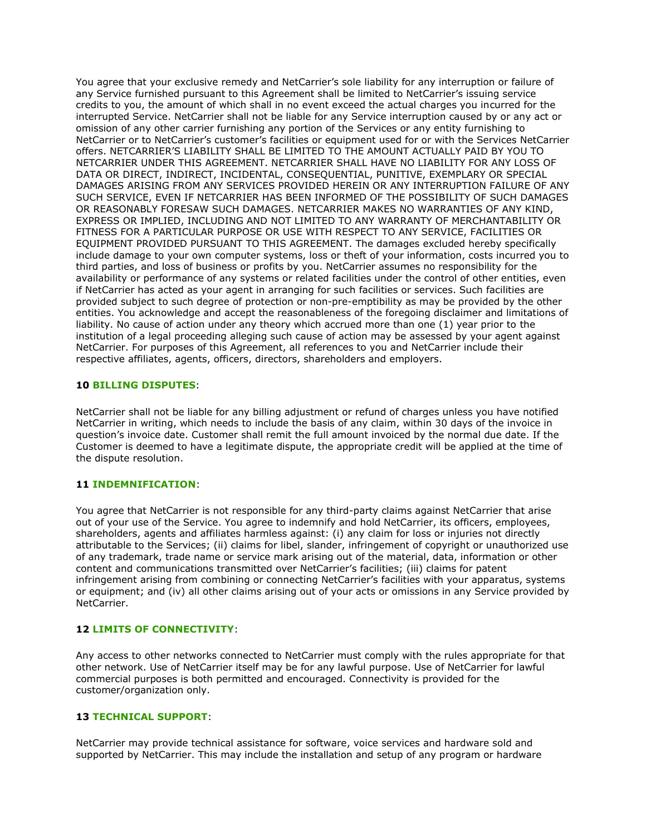You agree that your exclusive remedy and NetCarrier's sole liability for any interruption or failure of any Service furnished pursuant to this Agreement shall be limited to NetCarrier's issuing service credits to you, the amount of which shall in no event exceed the actual charges you incurred for the interrupted Service. NetCarrier shall not be liable for any Service interruption caused by or any act or omission of any other carrier furnishing any portion of the Services or any entity furnishing to NetCarrier or to NetCarrier's customer's facilities or equipment used for or with the Services NetCarrier offers. NETCARRIER'S LIABILITY SHALL BE LIMITED TO THE AMOUNT ACTUALLY PAID BY YOU TO NETCARRIER UNDER THIS AGREEMENT. NETCARRIER SHALL HAVE NO LIABILITY FOR ANY LOSS OF DATA OR DIRECT, INDIRECT, INCIDENTAL, CONSEQUENTIAL, PUNITIVE, EXEMPLARY OR SPECIAL DAMAGES ARISING FROM ANY SERVICES PROVIDED HEREIN OR ANY INTERRUPTION FAILURE OF ANY SUCH SERVICE, EVEN IF NETCARRIER HAS BEEN INFORMED OF THE POSSIBILITY OF SUCH DAMAGES OR REASONABLY FORESAW SUCH DAMAGES. NETCARRIER MAKES NO WARRANTIES OF ANY KIND, EXPRESS OR IMPLIED, INCLUDING AND NOT LIMITED TO ANY WARRANTY OF MERCHANTABILITY OR FITNESS FOR A PARTICULAR PURPOSE OR USE WITH RESPECT TO ANY SERVICE, FACILITIES OR EQUIPMENT PROVIDED PURSUANT TO THIS AGREEMENT. The damages excluded hereby specifically include damage to your own computer systems, loss or theft of your information, costs incurred you to third parties, and loss of business or profits by you. NetCarrier assumes no responsibility for the availability or performance of any systems or related facilities under the control of other entities, even if NetCarrier has acted as your agent in arranging for such facilities or services. Such facilities are provided subject to such degree of protection or non-pre-emptibility as may be provided by the other entities. You acknowledge and accept the reasonableness of the foregoing disclaimer and limitations of liability. No cause of action under any theory which accrued more than one (1) year prior to the institution of a legal proceeding alleging such cause of action may be assessed by your agent against NetCarrier. For purposes of this Agreement, all references to you and NetCarrier include their respective affiliates, agents, officers, directors, shareholders and employers.

## **10 BILLING DISPUTES**:

NetCarrier shall not be liable for any billing adjustment or refund of charges unless you have notified NetCarrier in writing, which needs to include the basis of any claim, within 30 days of the invoice in question's invoice date. Customer shall remit the full amount invoiced by the normal due date. If the Customer is deemed to have a legitimate dispute, the appropriate credit will be applied at the time of the dispute resolution.

## **11 INDEMNIFICATION**:

You agree that NetCarrier is not responsible for any third-party claims against NetCarrier that arise out of your use of the Service. You agree to indemnify and hold NetCarrier, its officers, employees, shareholders, agents and affiliates harmless against: (i) any claim for loss or injuries not directly attributable to the Services; (ii) claims for libel, slander, infringement of copyright or unauthorized use of any trademark, trade name or service mark arising out of the material, data, information or other content and communications transmitted over NetCarrier's facilities; (iii) claims for patent infringement arising from combining or connecting NetCarrier's facilities with your apparatus, systems or equipment; and (iv) all other claims arising out of your acts or omissions in any Service provided by NetCarrier.

## **12 LIMITS OF CONNECTIVITY**:

Any access to other networks connected to NetCarrier must comply with the rules appropriate for that other network. Use of NetCarrier itself may be for any lawful purpose. Use of NetCarrier for lawful commercial purposes is both permitted and encouraged. Connectivity is provided for the customer/organization only.

## **13 TECHNICAL SUPPORT**:

NetCarrier may provide technical assistance for software, voice services and hardware sold and supported by NetCarrier. This may include the installation and setup of any program or hardware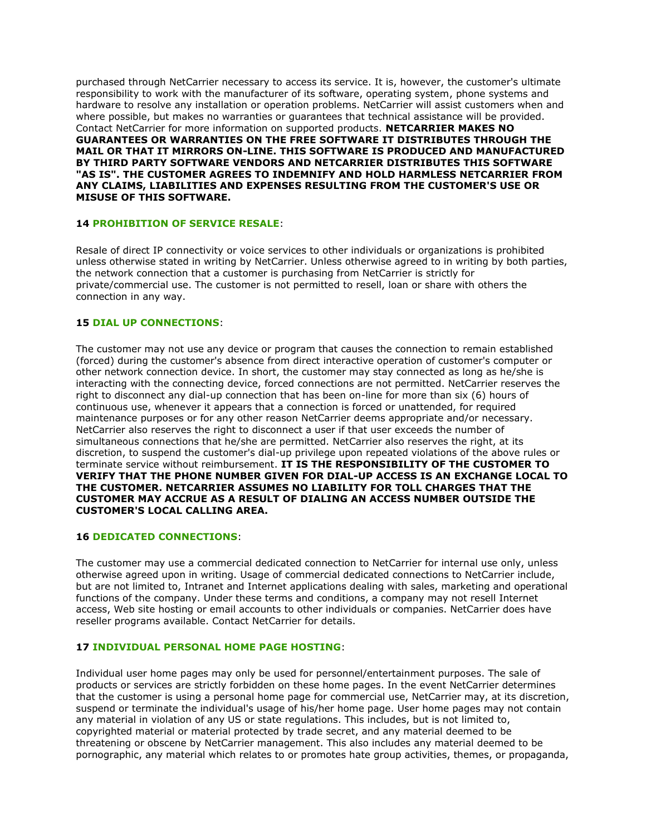purchased through NetCarrier necessary to access its service. It is, however, the customer's ultimate responsibility to work with the manufacturer of its software, operating system, phone systems and hardware to resolve any installation or operation problems. NetCarrier will assist customers when and where possible, but makes no warranties or guarantees that technical assistance will be provided. Contact NetCarrier for more information on supported products. **NETCARRIER MAKES NO GUARANTEES OR WARRANTIES ON THE FREE SOFTWARE IT DISTRIBUTES THROUGH THE MAIL OR THAT IT MIRRORS ON-LINE. THIS SOFTWARE IS PRODUCED AND MANUFACTURED BY THIRD PARTY SOFTWARE VENDORS AND NETCARRIER DISTRIBUTES THIS SOFTWARE "AS IS". THE CUSTOMER AGREES TO INDEMNIFY AND HOLD HARMLESS NETCARRIER FROM ANY CLAIMS, LIABILITIES AND EXPENSES RESULTING FROM THE CUSTOMER'S USE OR MISUSE OF THIS SOFTWARE.**

## **14 PROHIBITION OF SERVICE RESALE**:

Resale of direct IP connectivity or voice services to other individuals or organizations is prohibited unless otherwise stated in writing by NetCarrier. Unless otherwise agreed to in writing by both parties, the network connection that a customer is purchasing from NetCarrier is strictly for private/commercial use. The customer is not permitted to resell, loan or share with others the connection in any way.

## **15 DIAL UP CONNECTIONS**:

The customer may not use any device or program that causes the connection to remain established (forced) during the customer's absence from direct interactive operation of customer's computer or other network connection device. In short, the customer may stay connected as long as he/she is interacting with the connecting device, forced connections are not permitted. NetCarrier reserves the right to disconnect any dial-up connection that has been on-line for more than six (6) hours of continuous use, whenever it appears that a connection is forced or unattended, for required maintenance purposes or for any other reason NetCarrier deems appropriate and/or necessary. NetCarrier also reserves the right to disconnect a user if that user exceeds the number of simultaneous connections that he/she are permitted. NetCarrier also reserves the right, at its discretion, to suspend the customer's dial-up privilege upon repeated violations of the above rules or terminate service without reimbursement. **IT IS THE RESPONSIBILITY OF THE CUSTOMER TO VERIFY THAT THE PHONE NUMBER GIVEN FOR DIAL-UP ACCESS IS AN EXCHANGE LOCAL TO THE CUSTOMER. NETCARRIER ASSUMES NO LIABILITY FOR TOLL CHARGES THAT THE CUSTOMER MAY ACCRUE AS A RESULT OF DIALING AN ACCESS NUMBER OUTSIDE THE CUSTOMER'S LOCAL CALLING AREA.**

## **16 DEDICATED CONNECTIONS**:

The customer may use a commercial dedicated connection to NetCarrier for internal use only, unless otherwise agreed upon in writing. Usage of commercial dedicated connections to NetCarrier include, but are not limited to, Intranet and Internet applications dealing with sales, marketing and operational functions of the company. Under these terms and conditions, a company may not resell Internet access, Web site hosting or email accounts to other individuals or companies. NetCarrier does have reseller programs available. Contact NetCarrier for details.

## **17 INDIVIDUAL PERSONAL HOME PAGE HOSTING**:

Individual user home pages may only be used for personnel/entertainment purposes. The sale of products or services are strictly forbidden on these home pages. In the event NetCarrier determines that the customer is using a personal home page for commercial use, NetCarrier may, at its discretion, suspend or terminate the individual's usage of his/her home page. User home pages may not contain any material in violation of any US or state regulations. This includes, but is not limited to, copyrighted material or material protected by trade secret, and any material deemed to be threatening or obscene by NetCarrier management. This also includes any material deemed to be pornographic, any material which relates to or promotes hate group activities, themes, or propaganda,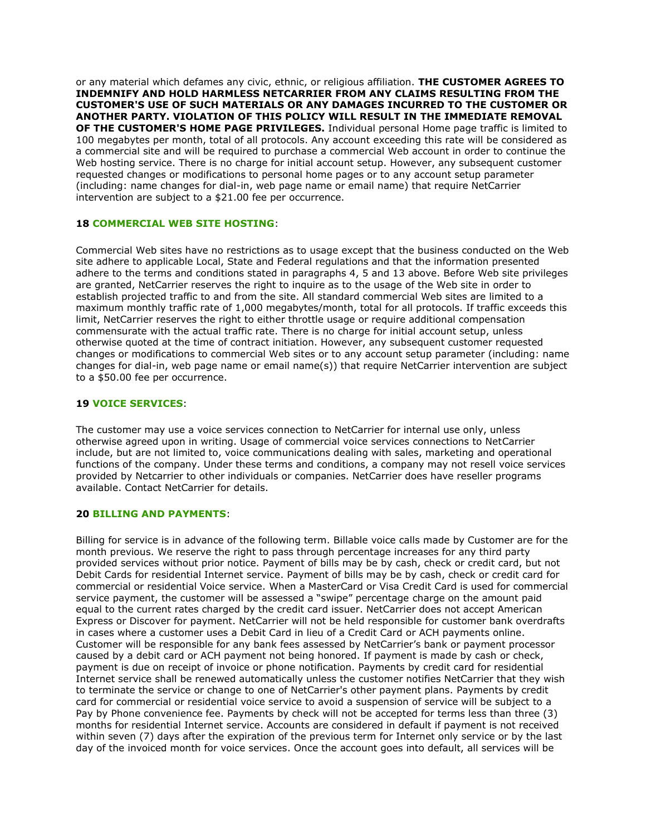or any material which defames any civic, ethnic, or religious affiliation. **THE CUSTOMER AGREES TO INDEMNIFY AND HOLD HARMLESS NETCARRIER FROM ANY CLAIMS RESULTING FROM THE CUSTOMER'S USE OF SUCH MATERIALS OR ANY DAMAGES INCURRED TO THE CUSTOMER OR ANOTHER PARTY. VIOLATION OF THIS POLICY WILL RESULT IN THE IMMEDIATE REMOVAL OF THE CUSTOMER'S HOME PAGE PRIVILEGES.** Individual personal Home page traffic is limited to 100 megabytes per month, total of all protocols. Any account exceeding this rate will be considered as a commercial site and will be required to purchase a commercial Web account in order to continue the Web hosting service. There is no charge for initial account setup. However, any subsequent customer requested changes or modifications to personal home pages or to any account setup parameter (including: name changes for dial-in, web page name or email name) that require NetCarrier intervention are subject to a \$21.00 fee per occurrence.

## **18 COMMERCIAL WEB SITE HOSTING**:

Commercial Web sites have no restrictions as to usage except that the business conducted on the Web site adhere to applicable Local, State and Federal regulations and that the information presented adhere to the terms and conditions stated in paragraphs 4, 5 and 13 above. Before Web site privileges are granted, NetCarrier reserves the right to inquire as to the usage of the Web site in order to establish projected traffic to and from the site. All standard commercial Web sites are limited to a maximum monthly traffic rate of 1,000 megabytes/month, total for all protocols. If traffic exceeds this limit, NetCarrier reserves the right to either throttle usage or require additional compensation commensurate with the actual traffic rate. There is no charge for initial account setup, unless otherwise quoted at the time of contract initiation. However, any subsequent customer requested changes or modifications to commercial Web sites or to any account setup parameter (including: name changes for dial-in, web page name or email name(s)) that require NetCarrier intervention are subject to a \$50.00 fee per occurrence.

# **19 VOICE SERVICES**:

The customer may use a voice services connection to NetCarrier for internal use only, unless otherwise agreed upon in writing. Usage of commercial voice services connections to NetCarrier include, but are not limited to, voice communications dealing with sales, marketing and operational functions of the company. Under these terms and conditions, a company may not resell voice services provided by Netcarrier to other individuals or companies. NetCarrier does have reseller programs available. Contact NetCarrier for details.

## **20 BILLING AND PAYMENTS**:

Billing for service is in advance of the following term. Billable voice calls made by Customer are for the month previous. We reserve the right to pass through percentage increases for any third party provided services without prior notice. Payment of bills may be by cash, check or credit card, but not Debit Cards for residential Internet service. Payment of bills may be by cash, check or credit card for commercial or residential Voice service. When a MasterCard or Visa Credit Card is used for commercial service payment, the customer will be assessed a "swipe" percentage charge on the amount paid equal to the current rates charged by the credit card issuer. NetCarrier does not accept American Express or Discover for payment. NetCarrier will not be held responsible for customer bank overdrafts in cases where a customer uses a Debit Card in lieu of a Credit Card or ACH payments online. Customer will be responsible for any bank fees assessed by NetCarrier's bank or payment processor caused by a debit card or ACH payment not being honored. If payment is made by cash or check, payment is due on receipt of invoice or phone notification. Payments by credit card for residential Internet service shall be renewed automatically unless the customer notifies NetCarrier that they wish to terminate the service or change to one of NetCarrier's other payment plans. Payments by credit card for commercial or residential voice service to avoid a suspension of service will be subject to a Pay by Phone convenience fee. Payments by check will not be accepted for terms less than three (3) months for residential Internet service. Accounts are considered in default if payment is not received within seven (7) days after the expiration of the previous term for Internet only service or by the last day of the invoiced month for voice services. Once the account goes into default, all services will be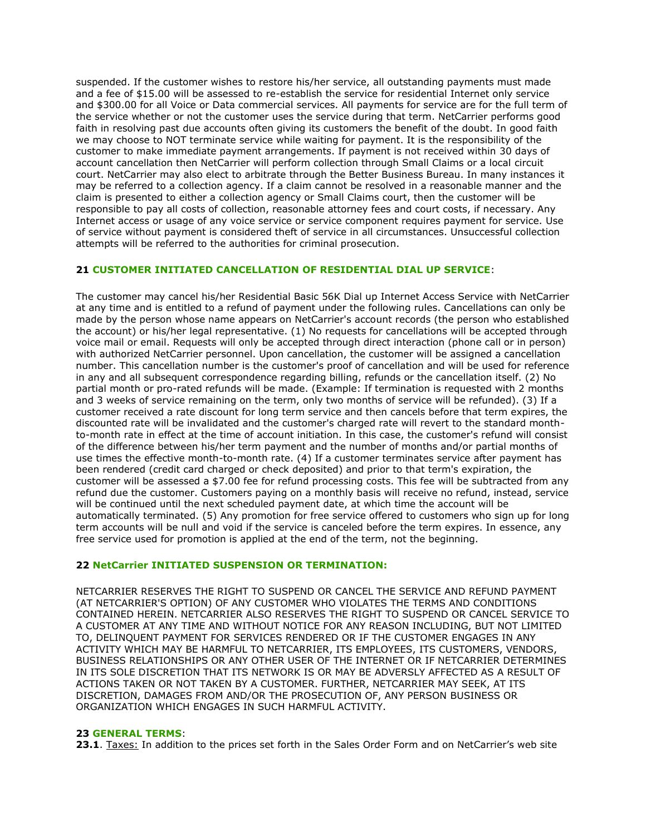suspended. If the customer wishes to restore his/her service, all outstanding payments must made and a fee of \$15.00 will be assessed to re-establish the service for residential Internet only service and \$300.00 for all Voice or Data commercial services. All payments for service are for the full term of the service whether or not the customer uses the service during that term. NetCarrier performs good faith in resolving past due accounts often giving its customers the benefit of the doubt. In good faith we may choose to NOT terminate service while waiting for payment. It is the responsibility of the customer to make immediate payment arrangements. If payment is not received within 30 days of account cancellation then NetCarrier will perform collection through Small Claims or a local circuit court. NetCarrier may also elect to arbitrate through the Better Business Bureau. In many instances it may be referred to a collection agency. If a claim cannot be resolved in a reasonable manner and the claim is presented to either a collection agency or Small Claims court, then the customer will be responsible to pay all costs of collection, reasonable attorney fees and court costs, if necessary. Any Internet access or usage of any voice service or service component requires payment for service. Use of service without payment is considered theft of service in all circumstances. Unsuccessful collection attempts will be referred to the authorities for criminal prosecution.

## **21 CUSTOMER INITIATED CANCELLATION OF RESIDENTIAL DIAL UP SERVICE**:

The customer may cancel his/her Residential Basic 56K Dial up Internet Access Service with NetCarrier at any time and is entitled to a refund of payment under the following rules. Cancellations can only be made by the person whose name appears on NetCarrier's account records (the person who established the account) or his/her legal representative. (1) No requests for cancellations will be accepted through voice mail or email. Requests will only be accepted through direct interaction (phone call or in person) with authorized NetCarrier personnel. Upon cancellation, the customer will be assigned a cancellation number. This cancellation number is the customer's proof of cancellation and will be used for reference in any and all subsequent correspondence regarding billing, refunds or the cancellation itself. (2) No partial month or pro-rated refunds will be made. (Example: If termination is requested with 2 months and 3 weeks of service remaining on the term, only two months of service will be refunded). (3) If a customer received a rate discount for long term service and then cancels before that term expires, the discounted rate will be invalidated and the customer's charged rate will revert to the standard monthto-month rate in effect at the time of account initiation. In this case, the customer's refund will consist of the difference between his/her term payment and the number of months and/or partial months of use times the effective month-to-month rate. (4) If a customer terminates service after payment has been rendered (credit card charged or check deposited) and prior to that term's expiration, the customer will be assessed a \$7.00 fee for refund processing costs. This fee will be subtracted from any refund due the customer. Customers paying on a monthly basis will receive no refund, instead, service will be continued until the next scheduled payment date, at which time the account will be automatically terminated. (5) Any promotion for free service offered to customers who sign up for long term accounts will be null and void if the service is canceled before the term expires. In essence, any free service used for promotion is applied at the end of the term, not the beginning.

## **22 NetCarrier INITIATED SUSPENSION OR TERMINATION:**

NETCARRIER RESERVES THE RIGHT TO SUSPEND OR CANCEL THE SERVICE AND REFUND PAYMENT (AT NETCARRIER'S OPTION) OF ANY CUSTOMER WHO VIOLATES THE TERMS AND CONDITIONS CONTAINED HEREIN. NETCARRIER ALSO RESERVES THE RIGHT TO SUSPEND OR CANCEL SERVICE TO A CUSTOMER AT ANY TIME AND WITHOUT NOTICE FOR ANY REASON INCLUDING, BUT NOT LIMITED TO, DELINQUENT PAYMENT FOR SERVICES RENDERED OR IF THE CUSTOMER ENGAGES IN ANY ACTIVITY WHICH MAY BE HARMFUL TO NETCARRIER, ITS EMPLOYEES, ITS CUSTOMERS, VENDORS, BUSINESS RELATIONSHIPS OR ANY OTHER USER OF THE INTERNET OR IF NETCARRIER DETERMINES IN ITS SOLE DISCRETION THAT ITS NETWORK IS OR MAY BE ADVERSLY AFFECTED AS A RESULT OF ACTIONS TAKEN OR NOT TAKEN BY A CUSTOMER. FURTHER, NETCARRIER MAY SEEK, AT ITS DISCRETION, DAMAGES FROM AND/OR THE PROSECUTION OF, ANY PERSON BUSINESS OR ORGANIZATION WHICH ENGAGES IN SUCH HARMFUL ACTIVITY.

## **23 GENERAL TERMS**:

**23.1**. Taxes: In addition to the prices set forth in the Sales Order Form and on NetCarrier's web site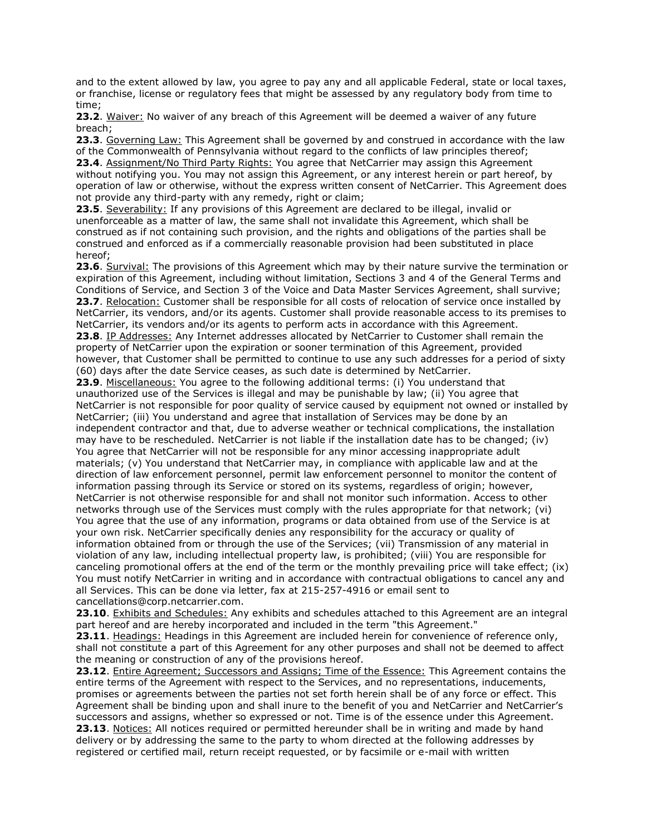and to the extent allowed by law, you agree to pay any and all applicable Federal, state or local taxes, or franchise, license or regulatory fees that might be assessed by any regulatory body from time to time;

**23.2**. Waiver: No waiver of any breach of this Agreement will be deemed a waiver of any future breach;

**23.3**. Governing Law: This Agreement shall be governed by and construed in accordance with the law of the Commonwealth of Pennsylvania without regard to the conflicts of law principles thereof; **23.4**. Assignment/No Third Party Rights: You agree that NetCarrier may assign this Agreement without notifying you. You may not assign this Agreement, or any interest herein or part hereof, by operation of law or otherwise, without the express written consent of NetCarrier. This Agreement does not provide any third-party with any remedy, right or claim;

**23.5**. Severability: If any provisions of this Agreement are declared to be illegal, invalid or unenforceable as a matter of law, the same shall not invalidate this Agreement, which shall be construed as if not containing such provision, and the rights and obligations of the parties shall be construed and enforced as if a commercially reasonable provision had been substituted in place hereof;

23.6. Survival: The provisions of this Agreement which may by their nature survive the termination or expiration of this Agreement, including without limitation, Sections 3 and 4 of the General Terms and Conditions of Service, and Section 3 of the Voice and Data Master Services Agreement, shall survive; **23.7**. Relocation: Customer shall be responsible for all costs of relocation of service once installed by NetCarrier, its vendors, and/or its agents. Customer shall provide reasonable access to its premises to NetCarrier, its vendors and/or its agents to perform acts in accordance with this Agreement.

**23.8**. IP Addresses: Any Internet addresses allocated by NetCarrier to Customer shall remain the property of NetCarrier upon the expiration or sooner termination of this Agreement, provided however, that Customer shall be permitted to continue to use any such addresses for a period of sixty (60) days after the date Service ceases, as such date is determined by NetCarrier.

**23.9**. Miscellaneous: You agree to the following additional terms: (i) You understand that unauthorized use of the Services is illegal and may be punishable by law; (ii) You agree that NetCarrier is not responsible for poor quality of service caused by equipment not owned or installed by NetCarrier; (iii) You understand and agree that installation of Services may be done by an independent contractor and that, due to adverse weather or technical complications, the installation may have to be rescheduled. NetCarrier is not liable if the installation date has to be changed; (iv) You agree that NetCarrier will not be responsible for any minor accessing inappropriate adult materials; (v) You understand that NetCarrier may, in compliance with applicable law and at the direction of law enforcement personnel, permit law enforcement personnel to monitor the content of information passing through its Service or stored on its systems, regardless of origin; however, NetCarrier is not otherwise responsible for and shall not monitor such information. Access to other networks through use of the Services must comply with the rules appropriate for that network; (vi) You agree that the use of any information, programs or data obtained from use of the Service is at your own risk. NetCarrier specifically denies any responsibility for the accuracy or quality of information obtained from or through the use of the Services; (vii) Transmission of any material in violation of any law, including intellectual property law, is prohibited; (viii) You are responsible for canceling promotional offers at the end of the term or the monthly prevailing price will take effect; (ix) You must notify NetCarrier in writing and in accordance with contractual obligations to cancel any and all Services. This can be done via letter, fax at 215-257-4916 or email sent to cancellations@corp.netcarrier.com.

**23.10**. Exhibits and Schedules: Any exhibits and schedules attached to this Agreement are an integral part hereof and are hereby incorporated and included in the term "this Agreement."

**23.11**. Headings: Headings in this Agreement are included herein for convenience of reference only, shall not constitute a part of this Agreement for any other purposes and shall not be deemed to affect the meaning or construction of any of the provisions hereof.

**23.12**. Entire Agreement; Successors and Assigns; Time of the Essence: This Agreement contains the entire terms of the Agreement with respect to the Services, and no representations, inducements, promises or agreements between the parties not set forth herein shall be of any force or effect. This Agreement shall be binding upon and shall inure to the benefit of you and NetCarrier and NetCarrier's successors and assigns, whether so expressed or not. Time is of the essence under this Agreement. **23.13**. Notices: All notices required or permitted hereunder shall be in writing and made by hand delivery or by addressing the same to the party to whom directed at the following addresses by registered or certified mail, return receipt requested, or by facsimile or e-mail with written